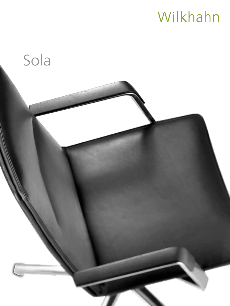## Wilkhahn

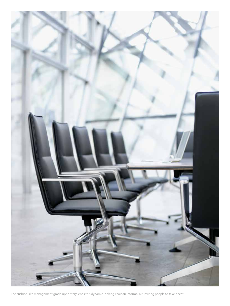

The cushion-like management grade upholstery lends this dynamic-looking chair an informal air, inviting people to take a seat.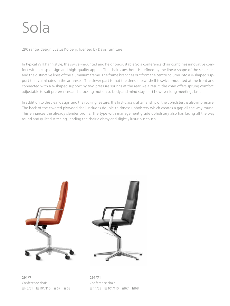# Sola

290 range, design: Justus Kolberg, licensed by Davis furniture

In typical Wilkhahn style, the swivel-mounted and height-adjustable Sola conference chair combines innovative comfort with a crisp design and high-quality appeal. The chair's aesthetic is defined by the linear shape of the seat shell and the distinctive lines of the aluminium frame. The frame branches out from the centre column into a V-shaped support that culminates in the armrests. The clever part is that the slender seat shell is swivel-mounted at the front and connected with a V-shaped support by two pressure springs at the rear. As a result, the chair offers sprung comfort, adjustable to suit preferences and a rocking motion so body and mind stay alert however long meetings last.

In addition to the clear design and the rocking feature, the first-class craftsmanship of the upholstery is also impressive. The back of the covered plywood shell includes double-thickness upholstery which creates a gap all the way round. This enhances the already slender profile. The type with management grade upholstery also has facing all the way round and quilted stitching, lending the chair a classy and slightly luxurious touch.



**291/7** Conference chair 日45/51 日101/110 日67 日68



**291/71** Conference chair 日44/53 日101/110 日67 日68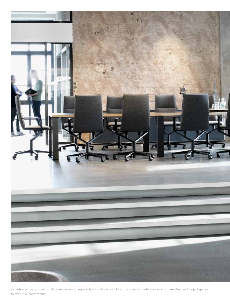

Its castors and ergonomic qualities make Sola an especially versatile piece of furniture ideal for conference rooms to meeting and project spaces to executive boardrooms.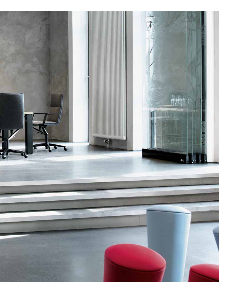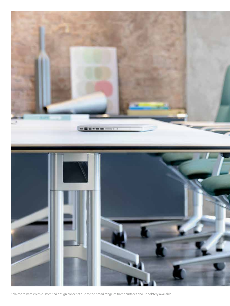

Sola coordinates with customised design concepts due to the broad range of frame surfaces and upholstery available.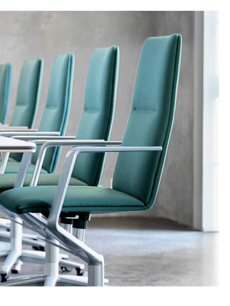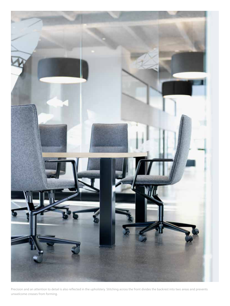

Precision and an attention to detail is also reflected in the upholstery. Stitching across the front divides the backrest into two areas and prevents unwelcome creases from forming.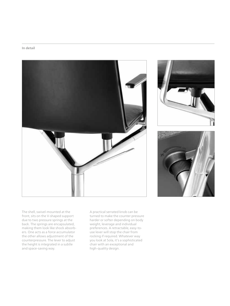#### **In detail**







The shell, swivel-mounted at the front, sits on the V-shaped support due to two pressure springs at the back. The springs are encapsulated, making them look like shock absorbers. One acts as a force accumulator the other allows adjustment of the counterpressure. The lever to adjust the height is integrated in a subtle and space-saving way.

A practical serrated knob can be turned to make the counter pressure harder or softer depending on body weight, leverage and individual preferences. A retractable, easy-touse lever will stop the chair from rocking if required. Whatever way you look at Sola, it's a sophisticated chair with an exceptional and high-quality design.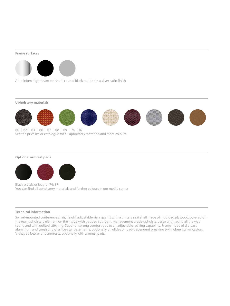#### **Frame surfaces**



Aluminium high-lustre polished, coated black matt or in a silver satin finish

#### **Upholstery materials**



60 | 62 | 63 | 66 | 67 | 68 | 69 | 74 | 87 See the price list or catalogue for all upholstery materials and more colours

#### **Optional armrest pads**



Black plastic or leather 74, 87 You can find all upholstery materials and further colours in our media center

#### **Technical information**

Swivel-mounted conference chair, height adjustable via a gas lift with a unitary seat shell made of moulded plywood, covered on the rear, upholstery element on the inside with padded cut foam, management grade upholstery also with facing all the way round and with quilted stitching. Superior sprung comfort due to an adjustable rocking capability. Frame made of die-cast aluminium and consisting of a five-star base frame, optionally on glides or load-dependent breaking twin wheel swivel castors, V-shaped bearer and armrests, optionally with armrest pads.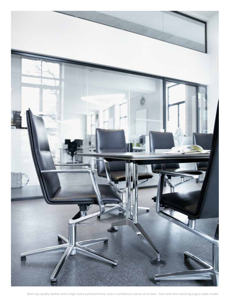

With top-quality leather and a high-lustre polished frame, Sola is conference culture at its best – here with the matching Logon table model.